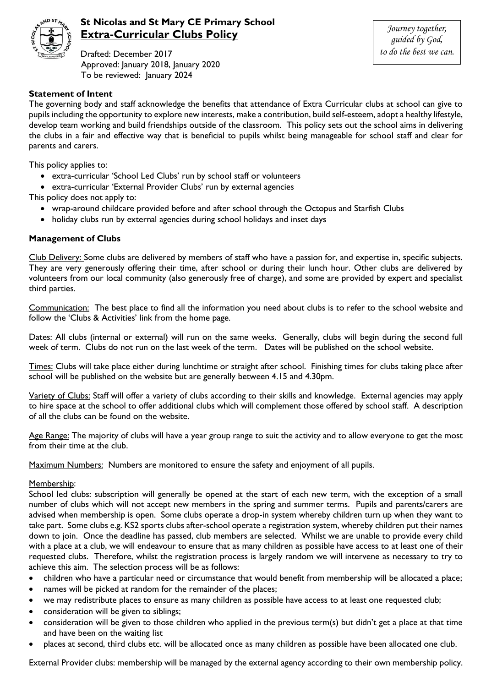

## **St Nicolas and St Mary CE Primary School Extra-Curricular Clubs Policy**

Drafted: December 2017 Approved: January 2018, January 2020 To be reviewed: January 2024

*Journey together, guided by God, to do the best we can.*

## **Statement of Intent**

The governing body and staff acknowledge the benefits that attendance of Extra Curricular clubs at school can give to pupils including the opportunity to explore new interests, make a contribution, build self-esteem, adopt a healthy lifestyle, develop team working and build friendships outside of the classroom. This policy sets out the school aims in delivering the clubs in a fair and effective way that is beneficial to pupils whilst being manageable for school staff and clear for parents and carers.

This policy applies to:

- extra-curricular 'School Led Clubs' run by school staff or volunteers
- extra-curricular 'External Provider Clubs' run by external agencies

This policy does not apply to:

- wrap-around childcare provided before and after school through the Octopus and Starfish Clubs
- holiday clubs run by external agencies during school holidays and inset days

## **Management of Clubs**

Club Delivery: Some clubs are delivered by members of staff who have a passion for, and expertise in, specific subjects. They are very generously offering their time, after school or during their lunch hour. Other clubs are delivered by volunteers from our local community (also generously free of charge), and some are provided by expert and specialist third parties.

Communication: The best place to find all the information you need about clubs is to refer to the school website and follow the 'Clubs & Activities' link from the home page.

Dates: All clubs (internal or external) will run on the same weeks. Generally, clubs will begin during the second full week of term. Clubs do not run on the last week of the term. Dates will be published on the school website.

Times: Clubs will take place either during lunchtime or straight after school. Finishing times for clubs taking place after school will be published on the website but are generally between 4.15 and 4.30pm.

Variety of Clubs: Staff will offer a variety of clubs according to their skills and knowledge. External agencies may apply to hire space at the school to offer additional clubs which will complement those offered by school staff. A description of all the clubs can be found on the website.

Age Range: The majority of clubs will have a year group range to suit the activity and to allow everyone to get the most from their time at the club.

Maximum Numbers: Numbers are monitored to ensure the safety and enjoyment of all pupils.

## Membership:

School led clubs: subscription will generally be opened at the start of each new term, with the exception of a small number of clubs which will not accept new members in the spring and summer terms. Pupils and parents/carers are advised when membership is open. Some clubs operate a drop-in system whereby children turn up when they want to take part. Some clubs e.g. KS2 sports clubs after-school operate a registration system, whereby children put their names down to join. Once the deadline has passed, club members are selected. Whilst we are unable to provide every child with a place at a club, we will endeavour to ensure that as many children as possible have access to at least one of their requested clubs. Therefore, whilst the registration process is largely random we will intervene as necessary to try to achieve this aim. The selection process will be as follows:

- children who have a particular need or circumstance that would benefit from membership will be allocated a place;
- names will be picked at random for the remainder of the places;
- we may redistribute places to ensure as many children as possible have access to at least one requested club;
- consideration will be given to siblings;
- consideration will be given to those children who applied in the previous term(s) but didn't get a place at that time and have been on the waiting list
- places at second, third clubs etc. will be allocated once as many children as possible have been allocated one club.

External Provider clubs: membership will be managed by the external agency according to their own membership policy.